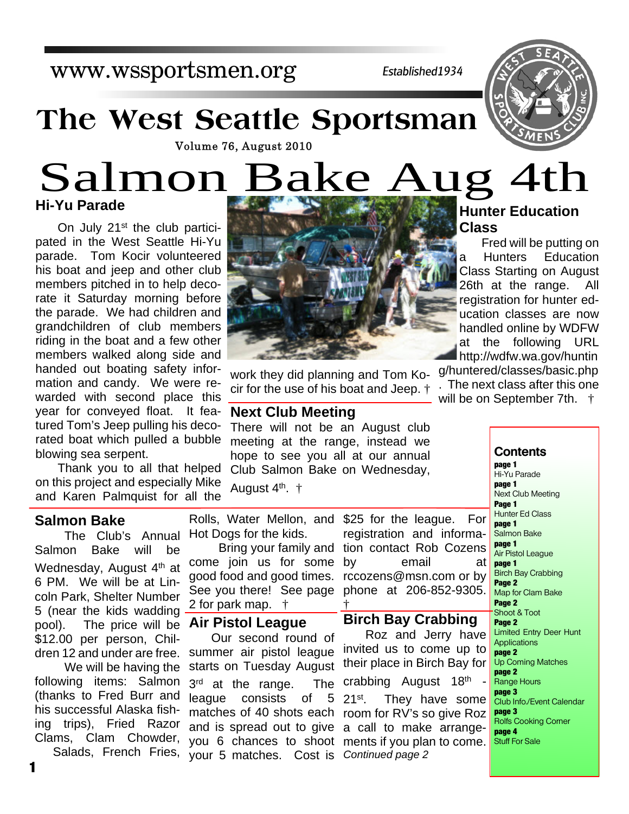## www.wssportsmen.org

*Established1934*

## **The West Seattle Sportsman**



# **Hi-Yu Parade** Volume 76, August 2010<br>Salmon Bake Aug 4th

On July 21<sup>st</sup> the club participated in the West Seattle Hi-Yu parade. Tom Kocir volunteered his boat and jeep and other club members pitched in to help decorate it Saturday morning before the parade. We had children and grandchildren of club members riding in the boat and a few other members walked along side and handed out boating safety information and candy. We were rewarded with second place this year for conveyed float. It featured Tom's Jeep pulling his decorated boat which pulled a bubble blowing sea serpent.

Thank you to all that helped on this project and especially Mike and Karen Palmquist for all the

### **Salmon Bake**

The Club's Annual Salmon Bake will be Wednesday, August 4<sup>th</sup> at 6 PM. We will be at Lincoln Park, Shelter Number 5 (near the kids wadding pool). The price will be \$12.00 per person, Children 12 and under are free.

We will be having the following items: Salmon (thanks to Fred Burr and his successful Alaska fishing trips), Fried Razor Clams, Clam Chowder,



work they did planning and Tom Kocir for the use of his boat and Jeep. †

#### **Next Club Meeting**

There will not be an August club meeting at the range, instead we hope to see you all at our annual Club Salmon Bake on Wednesday,

August 4<sup>th</sup>. †

Rolls, Water Mellon, and Hot Dogs for the kids.

Bring your family and come join us for some good food and good times. See you there! See page 2 for park map. †

#### **Air Pistol League**

Salads, French Fries, your 5 matches. Cost is Continued page 2 Our second round of summer air pistol league starts on Tuesday August 3<sup>rd</sup> at the range. The league consists of 5 matches of 40 shots each room for RV's so give Roz and is spread out to give a call to make arrangeyou 6 chances to shoot ments if you plan to come.

\$25 for the league. For registration and information contact Rob Cozens by email at rccozens@msn.com or by phone at 206-852-9305. †

#### **Birch Bay Crabbing**

Roz and Jerry have invited us to come up to their place in Birch Bay for crabbing August 18th 21<sup>st</sup>. They have some

## **Hunter Education Class**

Fred will be putting on a Hunters Education Class Starting on August 26th at the range. All registration for hunter education classes are now handled online by WDFW at the following URL http://wdfw.wa.gov/huntin g/huntered/classes/basic.php

. The next class after this one will be on September 7th.  $\dagger$ 

> **Contents page 1** Hi-Yu Parade **page 1** Next Club Meeting **Page 1** Hunter Ed Class **page 1** Salmon Bake **page 1** Air Pistol League **page 1** Birch Bay Crabbing **Page 2** Map for Clam Bake **Page 2** Shoot & Toot **Page 2** Limited Entry Deer Hunt **Applications page 2** Up Coming Matches **page 2** Range Hours **page 3** Club Info./Event Calendar **page 3** Rolfs Cooking Corner **page 4** Stuff For Sale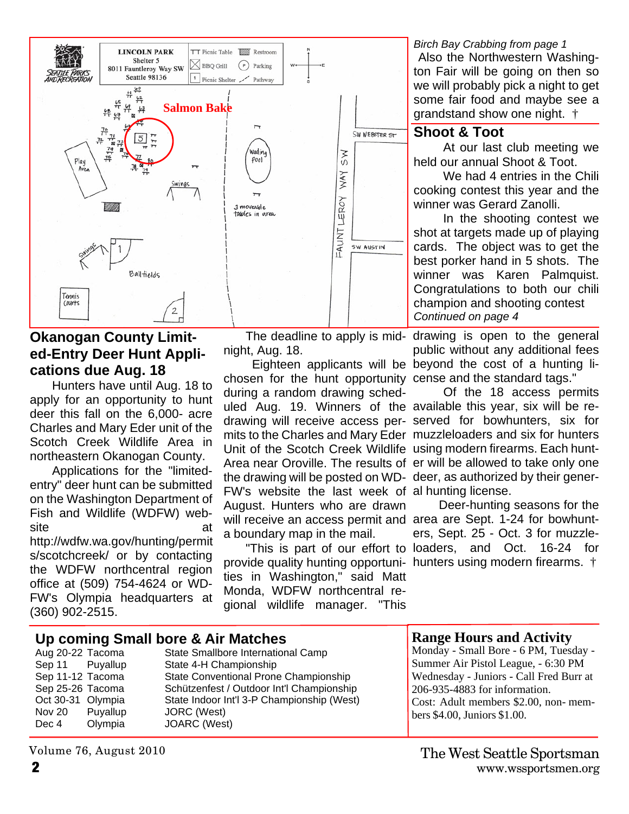

## **Okanogan County Limited-Entry Deer Hunt Applications due Aug. 18**

Hunters have until Aug. 18 to apply for an opportunity to hunt deer this fall on the 6,000- acre Charles and Mary Eder unit of the Scotch Creek Wildlife Area in northeastern Okanogan County.

Applications for the "limitedentry" deer hunt can be submitted on the Washington Department of Fish and Wildlife (WDFW) website at a structure at a structure  $\mathbf{a}$ 

http://wdfw.wa.gov/hunting/permit s/scotchcreek/ or by contacting the WDFW northcentral region office at (509) 754-4624 or WD-FW's Olympia headquarters at (360) 902-2515.

night, Aug. 18.

chosen for the hunt opportunity cense and the standard tags." uled Aug. 19. Winners of the available this year, six will be redrawing will receive access per- served for bowhunters, six for mits to the Charles and Mary Eder muzzleloaders and six for hunters Unit of the Scotch Creek Wildlife using modern firearms. Each hunt-Area near Oroville. The results of er will be allowed to take only one the drawing will be posted on WD- deer, as authorized by their gener-FW's website the last week of al hunting license. will receive an access permit and area are Sept. 1-24 for bowhuntduring a random drawing sched-August. Hunters who are drawn a boundary map in the mail.

provide quality hunting opportuni- hunters using modern firearms.  $\dagger$ ties in Washington," said Matt Monda, WDFW northcentral regional wildlife manager. "This

*Birch Bay Crabbing from page 1* Also the Northwestern Washington Fair will be going on then so we will probably pick a night to get some fair food and maybe see a grandstand show one night. †

#### **Shoot & Toot**

At our last club meeting we held our annual Shoot & Toot.

We had 4 entries in the Chili cooking contest this year and the winner was Gerard Zanolli.

In the shooting contest we shot at targets made up of playing cards. The object was to get the best porker hand in 5 shots. The winner was Karen Palmquist. Congratulations to both our chili champion and shooting contest *Continued on page 4*

The deadline to apply is mid- drawing is open to the general public without any additional fees Eighteen applicants will be beyond the cost of a hunting li-

Of the 18 access permits

 Deer-hunting seasons for the ers, Sept. 25 - Oct. 3 for muzzle-"This is part of our effort to loaders, and Oct. 16-24 for

|                   | Up coming Small bore & Air Matches | <b>Range Hours and Activity</b>            |                                         |
|-------------------|------------------------------------|--------------------------------------------|-----------------------------------------|
| Aug 20-22 Tacoma  |                                    | State Smallbore International Camp         | Monday - Small Bore - 6 PM, Tuesday -   |
| Sep 11 Puyallup   |                                    | State 4-H Championship                     | Summer Air Pistol League, - 6:30 PM     |
| Sep 11-12 Tacoma  |                                    | State Conventional Prone Championship      | Wednesday - Juniors - Call Fred Burr at |
| Sep 25-26 Tacoma  |                                    | Schützenfest / Outdoor Int'l Championship  | 206-935-4883 for information.           |
| Oct 30-31 Olympia |                                    | State Indoor Int'l 3-P Championship (West) | Cost: Adult members \$2.00, non-mem-    |
| Nov 20            | Puyallup                           | JORC (West)                                | bers $$4.00$ , Juniors $$1.00$ .        |
| Dec 4             | Olympia                            | JOARC (West)                               |                                         |

#### **2** www.wssportsmen.org The West Seattle Sportsman

Volume 76, August 2010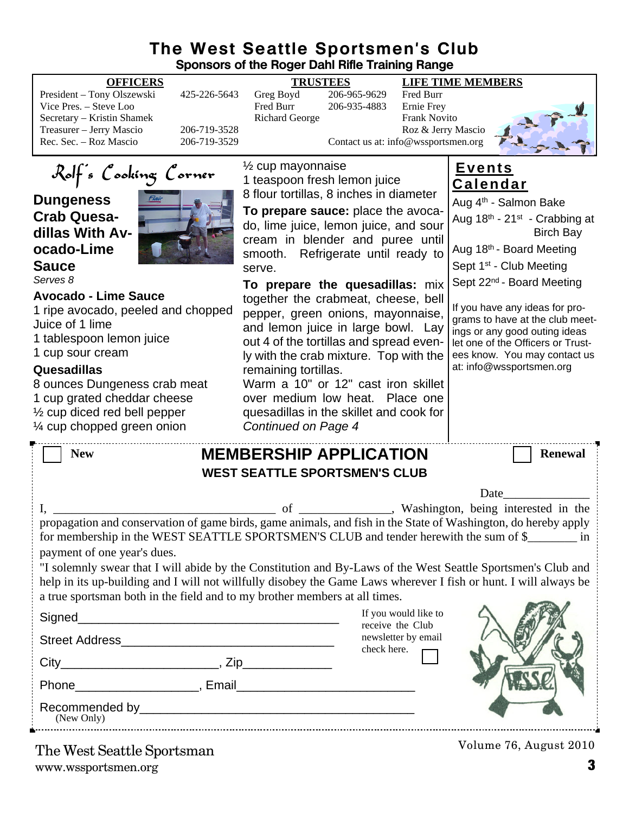### **The West Seattle Sportsmen's Club Sponsors of the Roger Dahl Rifle Training Range**

|                                                                                                                                                                                                                                                                                                                                                                                                                                                                                                                                                                                                                                                   | Sponsors of the Roger Dani Rille Training Range                                                                                                                                                                                                                                                                                                                                                                                                                                                                                                                                                                                                                                          |                                                                     |                                                                      |                                                                                                                                                                                                                                                                                                                                                                                                                                                           |  |  |
|---------------------------------------------------------------------------------------------------------------------------------------------------------------------------------------------------------------------------------------------------------------------------------------------------------------------------------------------------------------------------------------------------------------------------------------------------------------------------------------------------------------------------------------------------------------------------------------------------------------------------------------------------|------------------------------------------------------------------------------------------------------------------------------------------------------------------------------------------------------------------------------------------------------------------------------------------------------------------------------------------------------------------------------------------------------------------------------------------------------------------------------------------------------------------------------------------------------------------------------------------------------------------------------------------------------------------------------------------|---------------------------------------------------------------------|----------------------------------------------------------------------|-----------------------------------------------------------------------------------------------------------------------------------------------------------------------------------------------------------------------------------------------------------------------------------------------------------------------------------------------------------------------------------------------------------------------------------------------------------|--|--|
| <b>OFFICERS</b><br>President - Tony Olszewski<br>425-226-5643<br>Vice Pres. - Steve Loo<br>Secretary - Kristin Shamek<br>Treasurer - Jerry Mascio<br>206-719-3528<br>Rec. Sec. - Roz Mascio<br>206-719-3529                                                                                                                                                                                                                                                                                                                                                                                                                                       | <b>TRUSTEES</b><br>Greg Boyd<br>Fred Burr<br><b>Richard George</b>                                                                                                                                                                                                                                                                                                                                                                                                                                                                                                                                                                                                                       | 206-965-9629<br>206-935-4883<br>Contact us at: info@wssportsmen.org | Fred Burr<br>Ernie Frey<br><b>Frank Novito</b><br>Roz & Jerry Mascio | <b>LIFE TIME MEMBERS</b>                                                                                                                                                                                                                                                                                                                                                                                                                                  |  |  |
| Rolf's Cooking Corner<br><b>Dungeness</b><br><b>Crab Quesa-</b><br>dillas With Av-<br>ocado-Lime<br><b>Sauce</b><br>Serves 8<br><b>Avocado - Lime Sauce</b><br>1 ripe avocado, peeled and chopped<br>Juice of 1 lime<br>1 tablespoon lemon juice<br>1 cup sour cream<br>Quesadillas<br>8 ounces Dungeness crab meat<br>1 cup grated cheddar cheese<br>$\frac{1}{2}$ cup diced red bell pepper<br>1/4 cup chopped green onion                                                                                                                                                                                                                      | $\frac{1}{2}$ cup mayonnaise<br>1 teaspoon fresh lemon juice<br>8 flour tortillas, 8 inches in diameter<br>To prepare sauce: place the avoca-<br>do, lime juice, lemon juice, and sour<br>cream in blender and puree until<br>smooth. Refrigerate until ready to<br>serve.<br>To prepare the quesadillas: mix<br>together the crabmeat, cheese, bell<br>pepper, green onions, mayonnaise,<br>and lemon juice in large bowl. Lay<br>out 4 of the tortillas and spread even-<br>ly with the crab mixture. Top with the<br>remaining tortillas.<br>Warm a 10" or 12" cast iron skillet<br>over medium low heat. Place one<br>quesadillas in the skillet and cook for<br>Continued on Page 4 |                                                                     |                                                                      | <u>Events</u><br><b>Calendar</b><br>Aug 4 <sup>th</sup> - Salmon Bake<br>Aug 18th - 21 <sup>st</sup> - Crabbing at<br><b>Birch Bay</b><br>Aug 18th - Board Meeting<br>Sept 1 <sup>st</sup> - Club Meeting<br>Sept 22 <sup>nd</sup> - Board Meeting<br>If you have any ideas for pro-<br>grams to have at the club meet-<br>ings or any good outing ideas<br>let one of the Officers or Trust-<br>ees know. You may contact us<br>at: info@wssportsmen.org |  |  |
| <b>New</b>                                                                                                                                                                                                                                                                                                                                                                                                                                                                                                                                                                                                                                        | <b>MEMBERSHIP APPLICATION</b><br><b>WEST SEATTLE SPORTSMEN'S CLUB</b>                                                                                                                                                                                                                                                                                                                                                                                                                                                                                                                                                                                                                    |                                                                     |                                                                      | <b>Renewal</b><br>Date                                                                                                                                                                                                                                                                                                                                                                                                                                    |  |  |
| Washington, being interested in the<br>of<br>propagation and conservation of game birds, game animals, and fish in the State of Washington, do hereby apply<br>for membership in the WEST SEATTLE SPORTSMEN'S CLUB and tender herewith the sum of \$<br>payment of one year's dues.<br>"I solemnly swear that I will abide by the Constitution and By-Laws of the West Seattle Sportsmen's Club and<br>help in its up-building and I will not willfully disobey the Game Laws wherever I fish or hunt. I will always be<br>a true sportsman both in the field and to my brother members at all times.<br>If you would like to<br>receive the Club |                                                                                                                                                                                                                                                                                                                                                                                                                                                                                                                                                                                                                                                                                          |                                                                     |                                                                      |                                                                                                                                                                                                                                                                                                                                                                                                                                                           |  |  |
|                                                                                                                                                                                                                                                                                                                                                                                                                                                                                                                                                                                                                                                   |                                                                                                                                                                                                                                                                                                                                                                                                                                                                                                                                                                                                                                                                                          |                                                                     | newsletter by email<br>check here.                                   |                                                                                                                                                                                                                                                                                                                                                                                                                                                           |  |  |
| (New Only)                                                                                                                                                                                                                                                                                                                                                                                                                                                                                                                                                                                                                                        |                                                                                                                                                                                                                                                                                                                                                                                                                                                                                                                                                                                                                                                                                          |                                                                     |                                                                      |                                                                                                                                                                                                                                                                                                                                                                                                                                                           |  |  |
| The West Seattle Sportsman                                                                                                                                                                                                                                                                                                                                                                                                                                                                                                                                                                                                                        |                                                                                                                                                                                                                                                                                                                                                                                                                                                                                                                                                                                                                                                                                          |                                                                     |                                                                      | Volume 76, August 2010                                                                                                                                                                                                                                                                                                                                                                                                                                    |  |  |